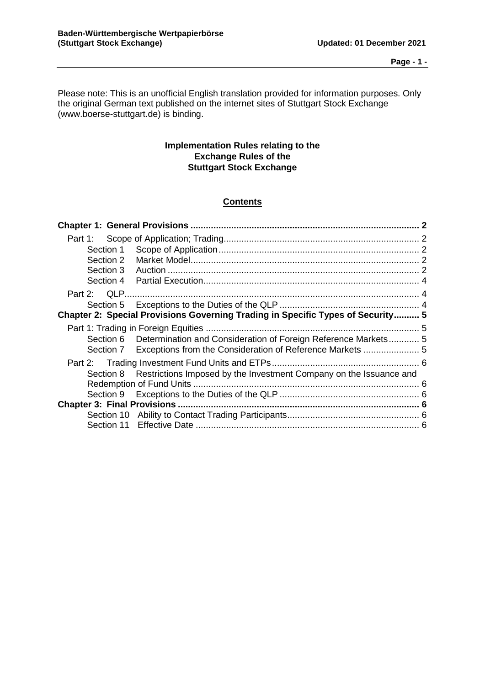Please note: This is an unofficial English translation provided for information purposes. Only the original German text published on the internet sites of Stuttgart Stock Exchange (www.boerse-stuttgart.de) is binding.

## **Implementation Rules relating to the Exchange Rules of the Stuttgart Stock Exchange**

# **Contents**

| Section 1 |                                                                                 |  |
|-----------|---------------------------------------------------------------------------------|--|
| Section 2 |                                                                                 |  |
| Section 3 |                                                                                 |  |
| Section 4 |                                                                                 |  |
|           |                                                                                 |  |
|           |                                                                                 |  |
|           | Chapter 2: Special Provisions Governing Trading in Specific Types of Security 5 |  |
|           |                                                                                 |  |
|           | Section 6 Determination and Consideration of Foreign Reference Markets 5        |  |
|           | Section 7 Exceptions from the Consideration of Reference Markets                |  |
|           |                                                                                 |  |
|           | Section 8 Restrictions Imposed by the Investment Company on the Issuance and    |  |
|           |                                                                                 |  |
|           |                                                                                 |  |
|           |                                                                                 |  |
|           |                                                                                 |  |
|           |                                                                                 |  |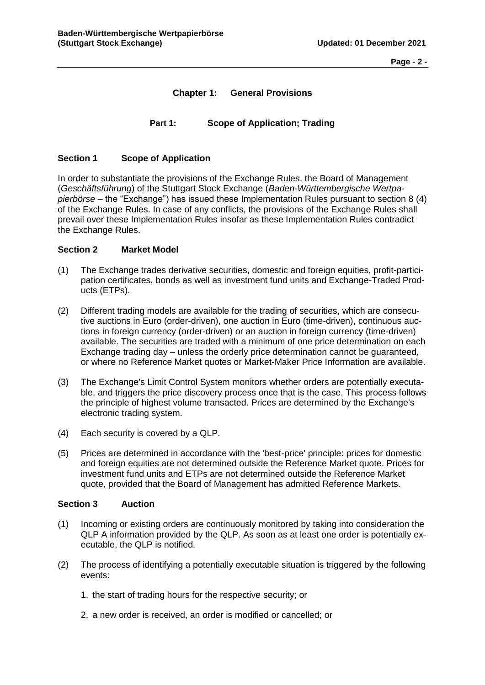**Page - 2 -**

# **Chapter 1: General Provisions**

## **Part 1: Scope of Application; Trading**

#### <span id="page-1-2"></span><span id="page-1-1"></span><span id="page-1-0"></span>**Section 1 Scope of Application**

In order to substantiate the provisions of the Exchange Rules, the Board of Management (*Geschäftsführung*) of the Stuttgart Stock Exchange (*Baden-Württembergische Wertpapierbörse* – the "Exchange") has issued these Implementation Rules pursuant to section 8 (4) of the Exchange Rules. In case of any conflicts, the provisions of the Exchange Rules shall prevail over these Implementation Rules insofar as these Implementation Rules contradict the Exchange Rules.

### <span id="page-1-3"></span>**Section 2 Market Model**

- (1) The Exchange trades derivative securities, domestic and foreign equities, profit-participation certificates, bonds as well as investment fund units and Exchange-Traded Products (ETPs).
- (2) Different trading models are available for the trading of securities, which are consecutive auctions in Euro (order-driven), one auction in Euro (time-driven), continuous auctions in foreign currency (order-driven) or an auction in foreign currency (time-driven) available. The securities are traded with a minimum of one price determination on each Exchange trading day – unless the orderly price determination cannot be guaranteed, or where no Reference Market quotes or Market-Maker Price Information are available.
- (3) The Exchange's Limit Control System monitors whether orders are potentially executable, and triggers the price discovery process once that is the case. This process follows the principle of highest volume transacted. Prices are determined by the Exchange's electronic trading system.
- (4) Each security is covered by a QLP.
- (5) Prices are determined in accordance with the 'best-price' principle: prices for domestic and foreign equities are not determined outside the Reference Market quote. Prices for investment fund units and ETPs are not determined outside the Reference Market quote, provided that the Board of Management has admitted Reference Markets.

#### <span id="page-1-4"></span>**Section 3 Auction**

- (1) Incoming or existing orders are continuously monitored by taking into consideration the QLP A information provided by the QLP. As soon as at least one order is potentially executable, the QLP is notified.
- (2) The process of identifying a potentially executable situation is triggered by the following events:
	- 1. the start of trading hours for the respective security; or
	- 2. a new order is received, an order is modified or cancelled; or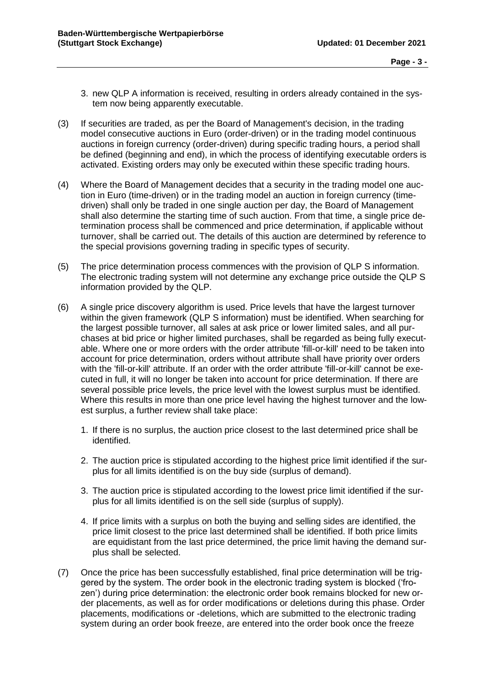- 3. new QLP A information is received, resulting in orders already contained in the system now being apparently executable.
- (3) If securities are traded, as per the Board of Management's decision, in the trading model consecutive auctions in Euro (order-driven) or in the trading model continuous auctions in foreign currency (order-driven) during specific trading hours, a period shall be defined (beginning and end), in which the process of identifying executable orders is activated. Existing orders may only be executed within these specific trading hours.
- (4) Where the Board of Management decides that a security in the trading model one auction in Euro (time-driven) or in the trading model an auction in foreign currency (timedriven) shall only be traded in one single auction per day, the Board of Management shall also determine the starting time of such auction. From that time, a single price determination process shall be commenced and price determination, if applicable without turnover, shall be carried out. The details of this auction are determined by reference to the special provisions governing trading in specific types of security.
- (5) The price determination process commences with the provision of QLP S information. The electronic trading system will not determine any exchange price outside the QLP S information provided by the QLP.
- (6) A single price discovery algorithm is used. Price levels that have the largest turnover within the given framework (QLP S information) must be identified. When searching for the largest possible turnover, all sales at ask price or lower limited sales, and all purchases at bid price or higher limited purchases, shall be regarded as being fully executable. Where one or more orders with the order attribute 'fill-or-kill' need to be taken into account for price determination, orders without attribute shall have priority over orders with the 'fill-or-kill' attribute. If an order with the order attribute 'fill-or-kill' cannot be executed in full, it will no longer be taken into account for price determination. If there are several possible price levels, the price level with the lowest surplus must be identified. Where this results in more than one price level having the highest turnover and the lowest surplus, a further review shall take place:
	- 1. If there is no surplus, the auction price closest to the last determined price shall be identified.
	- 2. The auction price is stipulated according to the highest price limit identified if the surplus for all limits identified is on the buy side (surplus of demand).
	- 3. The auction price is stipulated according to the lowest price limit identified if the surplus for all limits identified is on the sell side (surplus of supply).
	- 4. If price limits with a surplus on both the buying and selling sides are identified, the price limit closest to the price last determined shall be identified. If both price limits are equidistant from the last price determined, the price limit having the demand surplus shall be selected.
- (7) Once the price has been successfully established, final price determination will be triggered by the system. The order book in the electronic trading system is blocked ('frozen') during price determination: the electronic order book remains blocked for new order placements, as well as for order modifications or deletions during this phase. Order placements, modifications or -deletions, which are submitted to the electronic trading system during an order book freeze, are entered into the order book once the freeze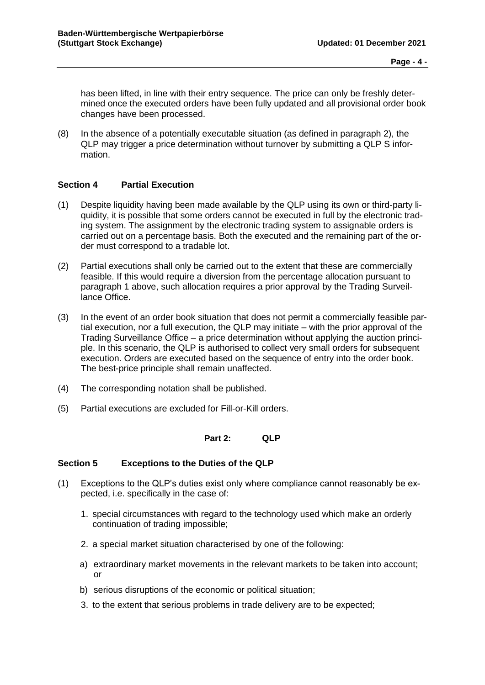has been lifted, in line with their entry sequence. The price can only be freshly determined once the executed orders have been fully updated and all provisional order book changes have been processed.

(8) In the absence of a potentially executable situation (as defined in paragraph 2), the QLP may trigger a price determination without turnover by submitting a QLP S information.

### <span id="page-3-0"></span>**Section 4 Partial Execution**

- (1) Despite liquidity having been made available by the QLP using its own or third-party liquidity, it is possible that some orders cannot be executed in full by the electronic trading system. The assignment by the electronic trading system to assignable orders is carried out on a percentage basis. Both the executed and the remaining part of the order must correspond to a tradable lot.
- (2) Partial executions shall only be carried out to the extent that these are commercially feasible. If this would require a diversion from the percentage allocation pursuant to paragraph 1 above, such allocation requires a prior approval by the Trading Surveillance Office.
- (3) In the event of an order book situation that does not permit a commercially feasible partial execution, nor a full execution, the QLP may initiate – with the prior approval of the Trading Surveillance Office – a price determination without applying the auction principle. In this scenario, the QLP is authorised to collect very small orders for subsequent execution. Orders are executed based on the sequence of entry into the order book. The best-price principle shall remain unaffected.
- (4) The corresponding notation shall be published.
- <span id="page-3-1"></span>(5) Partial executions are excluded for Fill-or-Kill orders.

#### **Part 2: QLP**

#### <span id="page-3-2"></span>**Section 5 Exceptions to the Duties of the QLP**

- (1) Exceptions to the QLP's duties exist only where compliance cannot reasonably be expected, i.e. specifically in the case of:
	- 1. special circumstances with regard to the technology used which make an orderly continuation of trading impossible;
	- 2. a special market situation characterised by one of the following:
	- a) extraordinary market movements in the relevant markets to be taken into account; or
	- b) serious disruptions of the economic or political situation;
	- 3. to the extent that serious problems in trade delivery are to be expected;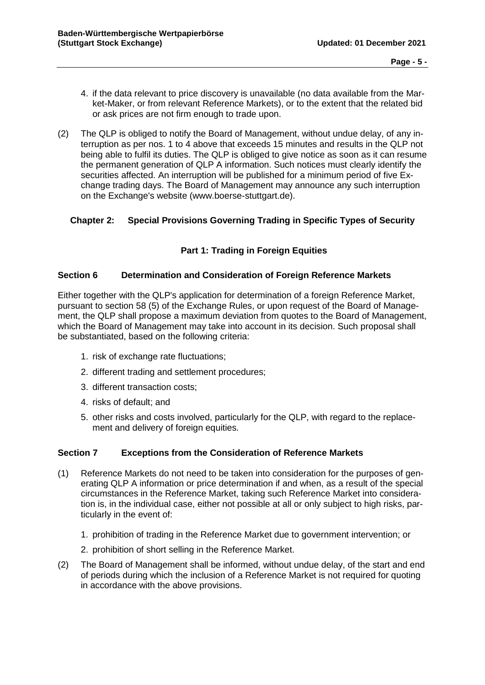- 4. if the data relevant to price discovery is unavailable (no data available from the Market-Maker, or from relevant Reference Markets), or to the extent that the related bid or ask prices are not firm enough to trade upon.
- (2) The QLP is obliged to notify the Board of Management, without undue delay, of any interruption as per nos. 1 to 4 above that exceeds 15 minutes and results in the QLP not being able to fulfil its duties. The QLP is obliged to give notice as soon as it can resume the permanent generation of QLP A information. Such notices must clearly identify the securities affected. An interruption will be published for a minimum period of five Exchange trading days. The Board of Management may announce any such interruption on the Exchange's website (www.boerse-stuttgart.de).

# <span id="page-4-1"></span><span id="page-4-0"></span>**Chapter 2: Special Provisions Governing Trading in Specific Types of Security**

# **Part 1: Trading in Foreign Equities**

### <span id="page-4-2"></span>**Section 6 Determination and Consideration of Foreign Reference Markets**

Either together with the QLP's application for determination of a foreign Reference Market, pursuant to section 58 (5) of the Exchange Rules, or upon request of the Board of Management, the QLP shall propose a maximum deviation from quotes to the Board of Management, which the Board of Management may take into account in its decision. Such proposal shall be substantiated, based on the following criteria:

- 1. risk of exchange rate fluctuations;
- 2. different trading and settlement procedures;
- 3. different transaction costs;
- 4. risks of default; and
- 5. other risks and costs involved, particularly for the QLP, with regard to the replacement and delivery of foreign equities.

## <span id="page-4-3"></span>**Section 7 Exceptions from the Consideration of Reference Markets**

- (1) Reference Markets do not need to be taken into consideration for the purposes of generating QLP A information or price determination if and when, as a result of the special circumstances in the Reference Market, taking such Reference Market into consideration is, in the individual case, either not possible at all or only subject to high risks, particularly in the event of:
	- 1. prohibition of trading in the Reference Market due to government intervention; or
	- 2. prohibition of short selling in the Reference Market.
- (2) The Board of Management shall be informed, without undue delay, of the start and end of periods during which the inclusion of a Reference Market is not required for quoting in accordance with the above provisions.